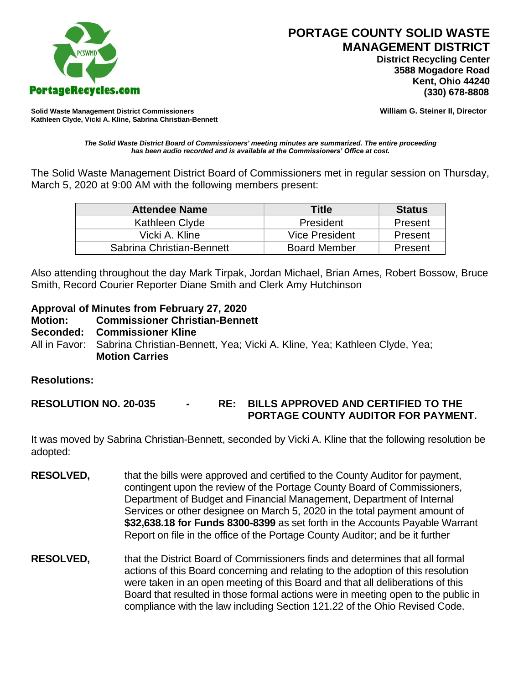

 **District Recycling Center 3588 Mogadore Road Kent, Ohio 44240**

**Solid Waste Management District Commissioners William G. Steiner II, Director Kathleen Clyde, Vicki A. Kline, Sabrina Christian-Bennett** 

*The Solid Waste District Board of Commissioners' meeting minutes are summarized. The entire proceeding has been audio recorded and is available at the Commissioners' Office at cost.*

The Solid Waste Management District Board of Commissioners met in regular session on Thursday, March 5, 2020 at 9:00 AM with the following members present:

| <b>Attendee Name</b>      | <b>Title</b>        | <b>Status</b> |
|---------------------------|---------------------|---------------|
| Kathleen Clyde            | President           | Present       |
| Vicki A. Kline            | Vice President      | Present       |
| Sabrina Christian-Bennett | <b>Board Member</b> | Present       |

Also attending throughout the day Mark Tirpak, Jordan Michael, Brian Ames, Robert Bossow, Bruce Smith, Record Courier Reporter Diane Smith and Clerk Amy Hutchinson

## **Approval of Minutes from February 27, 2020**

- **Motion: Commissioner Christian-Bennett**
- **Seconded: Commissioner Kline**
- All in Favor: Sabrina Christian-Bennett, Yea; Vicki A. Kline, Yea; Kathleen Clyde, Yea; **Motion Carries**

## **Resolutions:**

**RESOLUTION NO. 20-035 - RE: BILLS APPROVED AND CERTIFIED TO THE PORTAGE COUNTY AUDITOR FOR PAYMENT.** 

It was moved by Sabrina Christian-Bennett, seconded by Vicki A. Kline that the following resolution be adopted:

- **RESOLVED,** that the bills were approved and certified to the County Auditor for payment, contingent upon the review of the Portage County Board of Commissioners, Department of Budget and Financial Management, Department of Internal Services or other designee on March 5, 2020 in the total payment amount of **\$32,638.18 for Funds 8300-8399** as set forth in the Accounts Payable Warrant Report on file in the office of the Portage County Auditor; and be it further
- **RESOLVED,** that the District Board of Commissioners finds and determines that all formal actions of this Board concerning and relating to the adoption of this resolution were taken in an open meeting of this Board and that all deliberations of this Board that resulted in those formal actions were in meeting open to the public in compliance with the law including Section 121.22 of the Ohio Revised Code.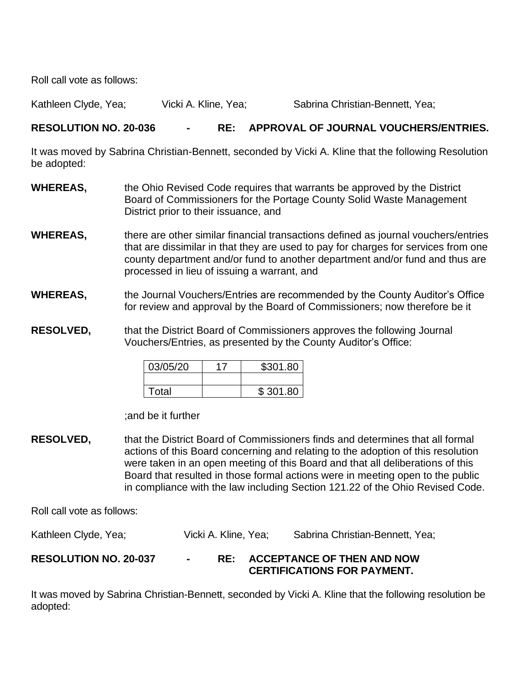Roll call vote as follows:

Kathleen Clyde, Yea; Vicki A. Kline, Yea; Sabrina Christian-Bennett, Yea;

## **RESOLUTION NO. 20-036 - RE: APPROVAL OF JOURNAL VOUCHERS/ENTRIES.**

It was moved by Sabrina Christian-Bennett, seconded by Vicki A. Kline that the following Resolution be adopted:

- **WHEREAS,** the Ohio Revised Code requires that warrants be approved by the District Board of Commissioners for the Portage County Solid Waste Management District prior to their issuance, and
- **WHEREAS,** there are other similar financial transactions defined as journal vouchers/entries that are dissimilar in that they are used to pay for charges for services from one county department and/or fund to another department and/or fund and thus are processed in lieu of issuing a warrant, and
- **WHEREAS,** the Journal Vouchers/Entries are recommended by the County Auditor's Office for review and approval by the Board of Commissioners; now therefore be it
- **RESOLVED,** that the District Board of Commissioners approves the following Journal Vouchers/Entries, as presented by the County Auditor's Office:

| 03/05/20 | \$301.80 |
|----------|----------|
|          |          |
| Total    | \$301.80 |

;and be it further

**RESOLVED,** that the District Board of Commissioners finds and determines that all formal actions of this Board concerning and relating to the adoption of this resolution were taken in an open meeting of this Board and that all deliberations of this Board that resulted in those formal actions were in meeting open to the public in compliance with the law including Section 121.22 of the Ohio Revised Code.

Roll call vote as follows:

Kathleen Clyde, Yea; The Vicki A. Kline, Yea; Sabrina Christian-Bennett, Yea;

# **RESOLUTION NO. 20-037 - RE: ACCEPTANCE OF THEN AND NOW CERTIFICATIONS FOR PAYMENT.**

It was moved by Sabrina Christian-Bennett, seconded by Vicki A. Kline that the following resolution be adopted: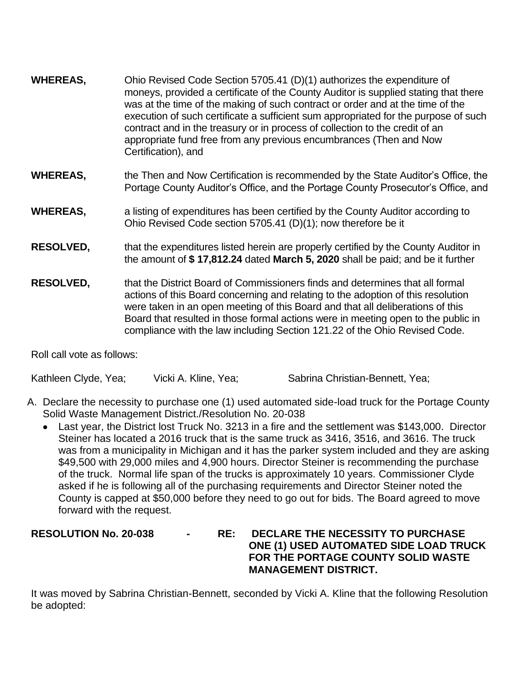| Ohio Revised Code Section 5705.41 (D)(1) authorizes the expenditure of<br>moneys, provided a certificate of the County Auditor is supplied stating that there<br>was at the time of the making of such contract or order and at the time of the<br>execution of such certificate a sufficient sum appropriated for the purpose of such<br>contract and in the treasury or in process of collection to the credit of an<br>appropriate fund free from any previous encumbrances (Then and Now<br>Certification), and |
|---------------------------------------------------------------------------------------------------------------------------------------------------------------------------------------------------------------------------------------------------------------------------------------------------------------------------------------------------------------------------------------------------------------------------------------------------------------------------------------------------------------------|
| the Then and Now Certification is recommended by the State Auditor's Office, the<br>Portage County Auditor's Office, and the Portage County Prosecutor's Office, and                                                                                                                                                                                                                                                                                                                                                |
| a listing of expenditures has been certified by the County Auditor according to<br>Ohio Revised Code section 5705.41 (D)(1); now therefore be it                                                                                                                                                                                                                                                                                                                                                                    |
| that the expenditures listed herein are properly certified by the County Auditor in<br>the amount of \$17,812.24 dated March 5, 2020 shall be paid; and be it further                                                                                                                                                                                                                                                                                                                                               |
| that the District Board of Commissioners finds and determines that all formal<br>actions of this Board concerning and relating to the adoption of this resolution<br>were taken in an open meeting of this Board and that all deliberations of this<br>Board that resulted in those formal actions were in meeting open to the public in<br>compliance with the law including Section 121.22 of the Ohio Revised Code.                                                                                              |
|                                                                                                                                                                                                                                                                                                                                                                                                                                                                                                                     |

Roll call vote as follows:

Kathleen Clyde, Yea; Vicki A. Kline, Yea; Sabrina Christian-Bennett, Yea;

- A. Declare the necessity to purchase one (1) used automated side-load truck for the Portage County Solid Waste Management District./Resolution No. 20-038
	- Last year, the District lost Truck No. 3213 in a fire and the settlement was \$143,000. Director Steiner has located a 2016 truck that is the same truck as 3416, 3516, and 3616. The truck was from a municipality in Michigan and it has the parker system included and they are asking \$49,500 with 29,000 miles and 4,900 hours. Director Steiner is recommending the purchase of the truck. Normal life span of the trucks is approximately 10 years. Commissioner Clyde asked if he is following all of the purchasing requirements and Director Steiner noted the County is capped at \$50,000 before they need to go out for bids. The Board agreed to move forward with the request.

## **RESOLUTION No. 20-038 - RE: DECLARE THE NECESSITY TO PURCHASE ONE (1) USED AUTOMATED SIDE LOAD TRUCK FOR THE PORTAGE COUNTY SOLID WASTE MANAGEMENT DISTRICT.**

It was moved by Sabrina Christian-Bennett, seconded by Vicki A. Kline that the following Resolution be adopted: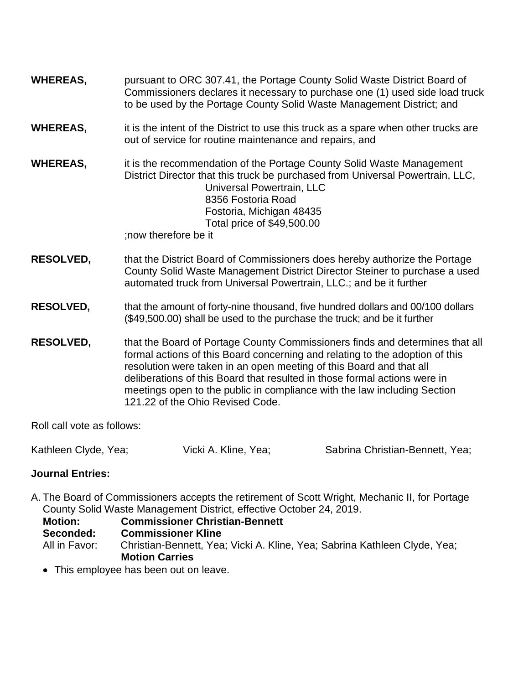- **WHEREAS,** pursuant to ORC 307.41, the Portage County Solid Waste District Board of Commissioners declares it necessary to purchase one (1) used side load truck to be used by the Portage County Solid Waste Management District; and
- **WHEREAS,** it is the intent of the District to use this truck as a spare when other trucks are out of service for routine maintenance and repairs, and

**WHEREAS,** it is the recommendation of the Portage County Solid Waste Management District Director that this truck be purchased from Universal Powertrain, LLC, Universal Powertrain, LLC 8356 Fostoria Road Fostoria, Michigan 48435 Total price of \$49,500.00

;now therefore be it

**RESOLVED,** that the District Board of Commissioners does hereby authorize the Portage County Solid Waste Management District Director Steiner to purchase a used automated truck from Universal Powertrain, LLC.; and be it further

## **RESOLVED,** that the amount of forty-nine thousand, five hundred dollars and 00/100 dollars (\$49,500.00) shall be used to the purchase the truck; and be it further

**RESOLVED,** that the Board of Portage County Commissioners finds and determines that all formal actions of this Board concerning and relating to the adoption of this resolution were taken in an open meeting of this Board and that all deliberations of this Board that resulted in those formal actions were in meetings open to the public in compliance with the law including Section 121.22 of the Ohio Revised Code.

Roll call vote as follows:

Kathleen Clyde, Yea; Vicki A. Kline, Yea; Sabrina Christian-Bennett, Yea;

## **Journal Entries:**

A. The Board of Commissioners accepts the retirement of Scott Wright, Mechanic II, for Portage County Solid Waste Management District, effective October 24, 2019.

**Motion: Commissioner Christian-Bennett**

**Seconded: Commissioner Kline**

All in Favor: Christian-Bennett, Yea; Vicki A. Kline, Yea; Sabrina Kathleen Clyde, Yea; **Motion Carries**

• This employee has been out on leave.